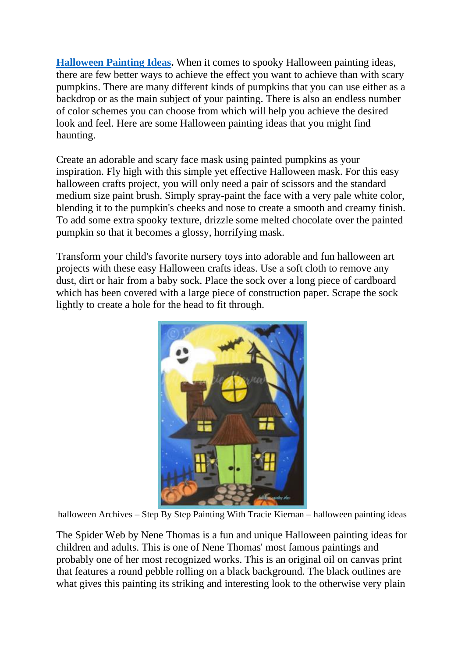**[Halloween Painting Ideas.](https://www.painterslegend.com/2022/04/halloween-painting-ideas.html)** When it comes to spooky Halloween painting ideas, there are few better ways to achieve the effect you want to achieve than with scary pumpkins. There are many different kinds of pumpkins that you can use either as a backdrop or as the main subject of your painting. There is also an endless number of color schemes you can choose from which will help you achieve the desired look and feel. Here are some Halloween painting ideas that you might find haunting.

Create an adorable and scary face mask using painted pumpkins as your inspiration. Fly high with this simple yet effective Halloween mask. For this easy halloween crafts project, you will only need a pair of scissors and the standard medium size paint brush. Simply spray-paint the face with a very pale white color, blending it to the pumpkin's cheeks and nose to create a smooth and creamy finish. To add some extra spooky texture, drizzle some melted chocolate over the painted pumpkin so that it becomes a glossy, horrifying mask.

Transform your child's favorite nursery toys into adorable and fun halloween art projects with these easy Halloween crafts ideas. Use a soft cloth to remove any dust, dirt or hair from a baby sock. Place the sock over a long piece of cardboard which has been covered with a large piece of construction paper. Scrape the sock lightly to create a hole for the head to fit through.



halloween Archives – Step By Step Painting With Tracie Kiernan – halloween painting ideas

The Spider Web by Nene Thomas is a fun and unique Halloween painting ideas for children and adults. This is one of Nene Thomas' most famous paintings and probably one of her most recognized works. This is an original oil on canvas print that features a round pebble rolling on a black background. The black outlines are what gives this painting its striking and interesting look to the otherwise very plain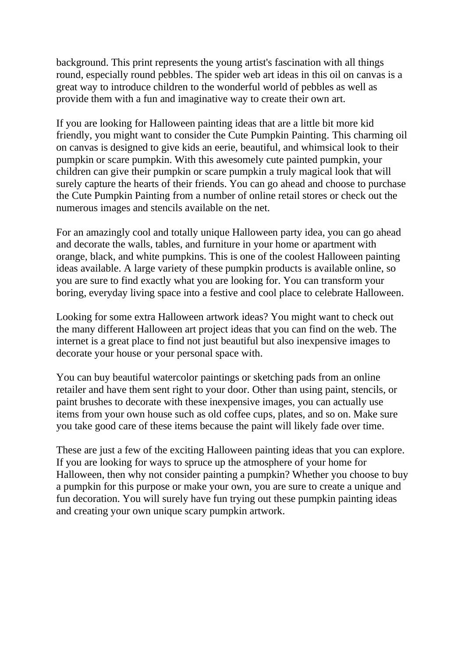background. This print represents the young artist's fascination with all things round, especially round pebbles. The spider web art ideas in this oil on canvas is a great way to introduce children to the wonderful world of pebbles as well as provide them with a fun and imaginative way to create their own art.

If you are looking for Halloween painting ideas that are a little bit more kid friendly, you might want to consider the Cute Pumpkin Painting. This charming oil on canvas is designed to give kids an eerie, beautiful, and whimsical look to their pumpkin or scare pumpkin. With this awesomely cute painted pumpkin, your children can give their pumpkin or scare pumpkin a truly magical look that will surely capture the hearts of their friends. You can go ahead and choose to purchase the Cute Pumpkin Painting from a number of online retail stores or check out the numerous images and stencils available on the net.

For an amazingly cool and totally unique Halloween party idea, you can go ahead and decorate the walls, tables, and furniture in your home or apartment with orange, black, and white pumpkins. This is one of the coolest Halloween painting ideas available. A large variety of these pumpkin products is available online, so you are sure to find exactly what you are looking for. You can transform your boring, everyday living space into a festive and cool place to celebrate Halloween.

Looking for some extra Halloween artwork ideas? You might want to check out the many different Halloween art project ideas that you can find on the web. The internet is a great place to find not just beautiful but also inexpensive images to decorate your house or your personal space with.

You can buy beautiful watercolor paintings or sketching pads from an online retailer and have them sent right to your door. Other than using paint, stencils, or paint brushes to decorate with these inexpensive images, you can actually use items from your own house such as old coffee cups, plates, and so on. Make sure you take good care of these items because the paint will likely fade over time.

These are just a few of the exciting Halloween painting ideas that you can explore. If you are looking for ways to spruce up the atmosphere of your home for Halloween, then why not consider painting a pumpkin? Whether you choose to buy a pumpkin for this purpose or make your own, you are sure to create a unique and fun decoration. You will surely have fun trying out these pumpkin painting ideas and creating your own unique scary pumpkin artwork.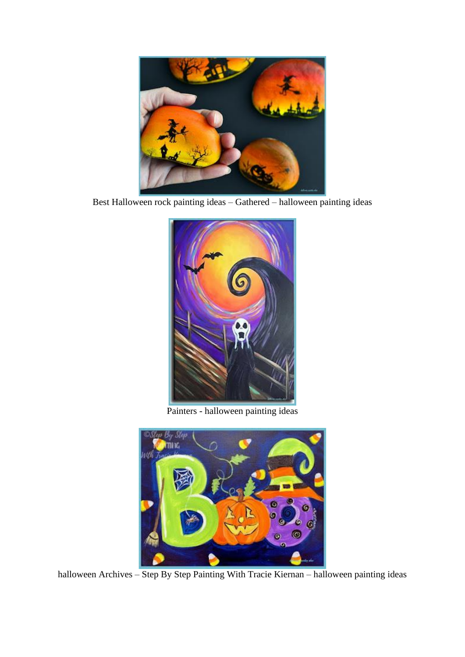

Best Halloween rock painting ideas – Gathered – halloween painting ideas



Painters - halloween painting ideas



halloween Archives – Step By Step Painting With Tracie Kiernan – halloween painting ideas